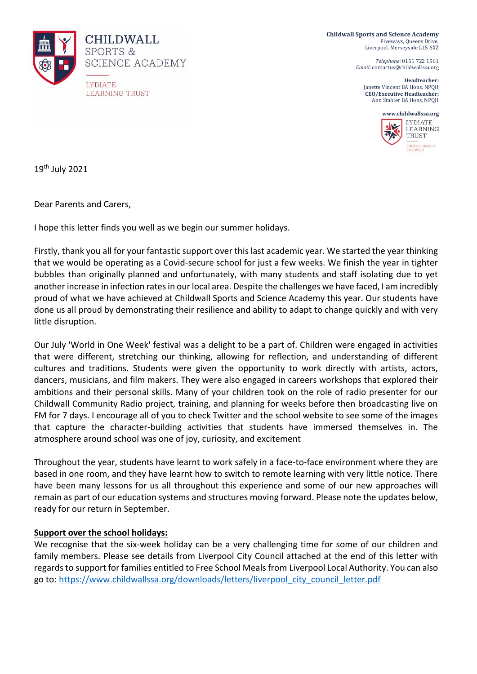

**Childwall Sports and Science Academy** Fiveways, Queens Drive, Liverpool. Merseyside L15 6XZ

> *Telephone:* 0151 722 1561 *Email:* contactus@childwallssa.org

**Headteacher:**  Janette Vincent BA Hons, NPQH **CEO/Executive Headteacher:**  Ann Stahler BA Hons, NPQH



19th July 2021

Dear Parents and Carers,

I hope this letter finds you well as we begin our summer holidays.

Firstly, thank you all for your fantastic support over this last academic year. We started the year thinking that we would be operating as a Covid-secure school for just a few weeks. We finish the year in tighter bubbles than originally planned and unfortunately, with many students and staff isolating due to yet another increase in infection rates in our local area. Despite the challenges we have faced, I am incredibly proud of what we have achieved at Childwall Sports and Science Academy this year. Our students have done us all proud by demonstrating their resilience and ability to adapt to change quickly and with very little disruption.

Our July 'World in One Week' festival was a delight to be a part of. Children were engaged in activities that were different, stretching our thinking, allowing for reflection, and understanding of different cultures and traditions. Students were given the opportunity to work directly with artists, actors, dancers, musicians, and film makers. They were also engaged in careers workshops that explored their ambitions and their personal skills. Many of your children took on the role of radio presenter for our Childwall Community Radio project, training, and planning for weeks before then broadcasting live on FM for 7 days. I encourage all of you to check Twitter and the school website to see some of the images that capture the character-building activities that students have immersed themselves in. The atmosphere around school was one of joy, curiosity, and excitement

Throughout the year, students have learnt to work safely in a face-to-face environment where they are based in one room, and they have learnt how to switch to remote learning with very little notice. There have been many lessons for us all throughout this experience and some of our new approaches will remain as part of our education systems and structures moving forward. Please note the updates below, ready for our return in September.

#### **Support over the school holidays:**

We recognise that the six-week holiday can be a very challenging time for some of our children and family members. Please see details from Liverpool City Council attached at the end of this letter with regards to support for families entitled to Free School Meals from Liverpool Local Authority. You can also go to: [https://www.childwallssa.org/downloads/letters/liverpool\\_city\\_council\\_letter.pdf](https://www.childwallssa.org/downloads/letters/liverpool_city_council_letter.pdf)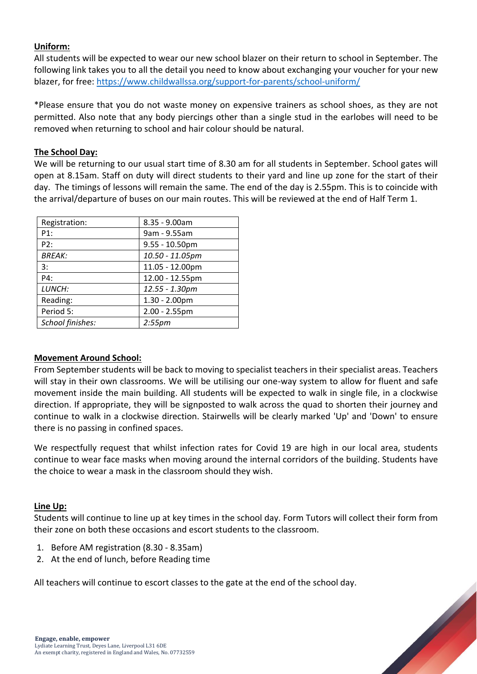# **Uniform:**

All students will be expected to wear our new school blazer on their return to school in September. The following link takes you to all the detail you need to know about exchanging your voucher for your new blazer, for free:<https://www.childwallssa.org/support-for-parents/school-uniform/>

\*Please ensure that you do not waste money on expensive trainers as school shoes, as they are not permitted. Also note that any body piercings other than a single stud in the earlobes will need to be removed when returning to school and hair colour should be natural.

# **The School Day:**

We will be returning to our usual start time of 8.30 am for all students in September. School gates will open at 8.15am. Staff on duty will direct students to their yard and line up zone for the start of their day. The timings of lessons will remain the same. The end of the day is 2.55pm. This is to coincide with the arrival/departure of buses on our main routes. This will be reviewed at the end of Half Term 1.

| Registration:    | $8.35 - 9.00am$   |
|------------------|-------------------|
| P1:              | 9am - 9.55am      |
| P2:              | $9.55 - 10.50$ pm |
| <b>BREAK:</b>    | 10.50 - 11.05pm   |
| 3:               | 11.05 - 12.00pm   |
| P4:              | 12.00 - 12.55pm   |
| LUNCH:           | 12.55 - 1.30pm    |
| Reading:         | $1.30 - 2.00$ pm  |
| Period 5:        | $2.00 - 2.55$ pm  |
| School finishes: | $2:55$ pm         |

### **Movement Around School:**

From September students will be back to moving to specialist teachers in their specialist areas. Teachers will stay in their own classrooms. We will be utilising our one-way system to allow for fluent and safe movement inside the main building. All students will be expected to walk in single file, in a clockwise direction. If appropriate, they will be signposted to walk across the quad to shorten their journey and continue to walk in a clockwise direction. Stairwells will be clearly marked 'Up' and 'Down' to ensure there is no passing in confined spaces.

We respectfully request that whilst infection rates for Covid 19 are high in our local area, students continue to wear face masks when moving around the internal corridors of the building. Students have the choice to wear a mask in the classroom should they wish.

### **Line Up:**

Students will continue to line up at key times in the school day. Form Tutors will collect their form from their zone on both these occasions and escort students to the classroom.

- 1. Before AM registration (8.30 8.35am)
- 2. At the end of lunch, before Reading time

All teachers will continue to escort classes to the gate at the end of the school day.

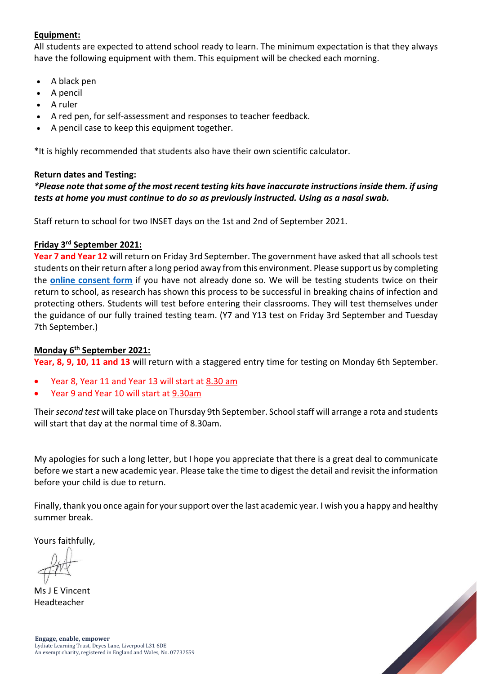# **Equipment:**

All students are expected to attend school ready to learn. The minimum expectation is that they always have the following equipment with them. This equipment will be checked each morning.

- A black pen
- A pencil
- A ruler
- A red pen, for self-assessment and responses to teacher feedback.
- A pencil case to keep this equipment together.

\*It is highly recommended that students also have their own scientific calculator.

#### **Return dates and Testing:**

# *\*Please note that some of the most recent testing kits have inaccurate instructions inside them. if using tests at home you must continue to do so as previously instructed. Using as a nasal swab.*

Staff return to school for two INSET days on the 1st and 2nd of September 2021.

# **Friday 3 rd September 2021:**

**Year 7 and Year 12** will return on Friday 3rd September. The government have asked that all schools test students on their return after a long period away from this environment. Please support us by completing the **[online consent form](https://forms.office.com/Pages/ResponsePage.aspx?id=cnsPij8iGEu-SoihxmoktWd_9Uh0qUFBkZjxi0SHK7xUQVA5NzJNMzdGTk9TWlhBUkRPNjk1TFoxTy4u)** if you have not already done so. We will be testing students twice on their return to school, as research has shown this process to be successful in breaking chains of infection and protecting others. Students will test before entering their classrooms. They will test themselves under the guidance of our fully trained testing team. (Y7 and Y13 test on Friday 3rd September and Tuesday 7th September.)

#### **Monday 6th September 2021:**

**Year, 8, 9, 10, 11 and 13** will return with a staggered entry time for testing on Monday 6th September.

- Year 8, Year 11 and Year 13 will start at 8.30 am
- Year 9 and Year 10 will start at 9.30am

Their *second test* will take place on Thursday 9th September. School staff will arrange a rota and students will start that day at the normal time of 8.30am.

My apologies for such a long letter, but I hope you appreciate that there is a great deal to communicate before we start a new academic year. Please take the time to digest the detail and revisit the information before your child is due to return.

Finally, thank you once again for your support over the last academic year. I wish you a happy and healthy summer break.

Yours faithfully,

Ms J E Vincent Headteacher